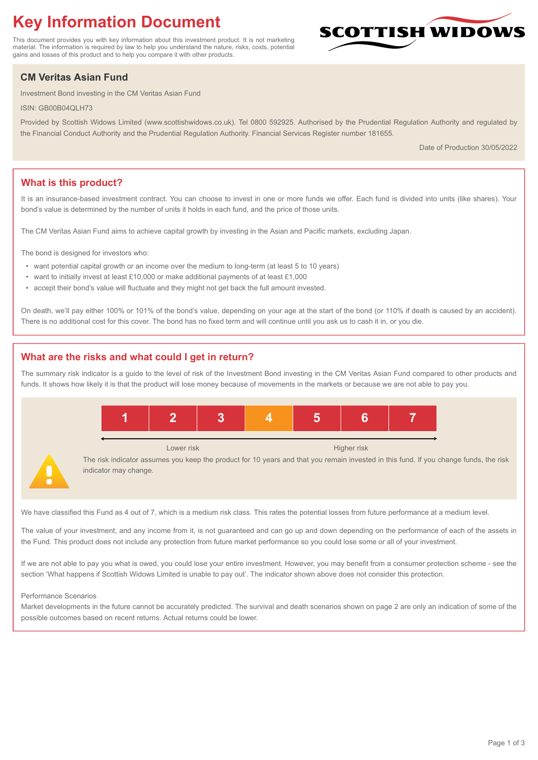# **Key Information Document**

This document provides you with key information about this investment product. It is not marketing material. The information is required by law to help you understand the nature, risks, costs, potential gains and losses of this product and to help you compare it with other products.

## **CM Veritas Asian Fund**

Investment Bond investing in the CM Veritas Asian Fund

ISIN: GB00B04QLH73

Provided by Scottish Widows Limited (www.scottishwidows.co.uk). Tel 0800 592925. Authorised by the Prudential Regulation Authority and regulated by the Financial Conduct Authority and the Prudential Regulation Authority. Financial Services Register number 181655.

Date of Production 30/05/2022

**SCOTTISH WIDOW** 

## **What is this product?**

It is an insurance-based investment contract. You can choose to invest in one or more funds we offer. Each fund is divided into units (like shares). Your bond's value is determined by the number of units it holds in each fund, and the price of those units.

The CM Veritas Asian Fund aims to achieve capital growth by investing in the Asian and Pacific markets, excluding Japan.

The bond is designed for investors who:

- want potential capital growth or an income over the medium to long-term (at least 5 to 10 years)
- want to initially invest at least £10,000 or make additional payments of at least £1,000
- accept their bond's value will fluctuate and they might not get back the full amount invested.

On death, we'll pay either 100% or 101% of the bond's value, depending on your age at the start of the bond (or 110% if death is caused by an accident). There is no additional cost for this cover. The bond has no fixed term and will continue until you ask us to cash it in, or you die.

## **What are the risks and what could I get in return?**

The summary risk indicator is a guide to the level of risk of the Investment Bond investing in the CM Veritas Asian Fund compared to other products and funds. It shows how likely it is that the product will lose money because of movements in the markets or because we are not able to pay you.



We have classified this Fund as 4 out of 7, which is a medium risk class. This rates the potential losses from future performance at a medium level.

The value of your investment, and any income from it, is not guaranteed and can go up and down depending on the performance of each of the assets in the Fund. This product does not include any protection from future market performance so you could lose some or all of your investment.

If we are not able to pay you what is owed, you could lose your entire investment. However, you may benefit from a consumer protection scheme - see the section 'What happens if Scottish Widows Limited is unable to pay out'. The indicator shown above does not consider this protection.

#### Performance Scenarios

Market developments in the future cannot be accurately predicted. The survival and death scenarios shown on page 2 are only an indication of some of the possible outcomes based on recent returns. Actual returns could be lower.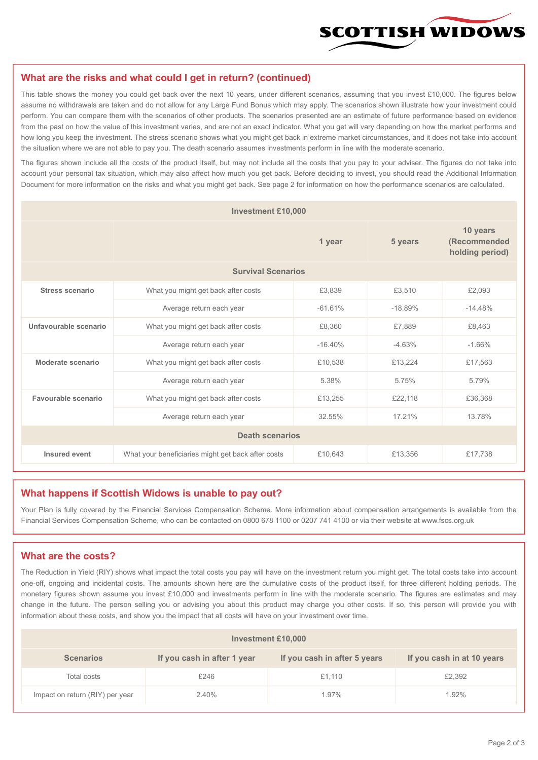

#### **What are the risks and what could I get in return? (continued)**

This table shows the money you could get back over the next 10 years, under different scenarios, assuming that you invest £10,000. The figures below assume no withdrawals are taken and do not allow for any Large Fund Bonus which may apply. The scenarios shown illustrate how your investment could perform. You can compare them with the scenarios of other products. The scenarios presented are an estimate of future performance based on evidence from the past on how the value of this investment varies, and are not an exact indicator. What you get will vary depending on how the market performs and how long you keep the investment. The stress scenario shows what you might get back in extreme market circumstances, and it does not take into account the situation where we are not able to pay you. The death scenario assumes investments perform in line with the moderate scenario.

The figures shown include all the costs of the product itself, but may not include all the costs that you pay to your adviser. The figures do not take into account your personal tax situation, which may also affect how much you get back. Before deciding to invest, you should read the Additional Information Document for more information on the risks and what you might get back. See page 2 for information on how the performance scenarios are calculated.

| <b>Investment £10,000</b> |                                                    |           |           |                                             |  |  |
|---------------------------|----------------------------------------------------|-----------|-----------|---------------------------------------------|--|--|
|                           | 1 year                                             |           | 5 years   | 10 years<br>(Recommended<br>holding period) |  |  |
| <b>Survival Scenarios</b> |                                                    |           |           |                                             |  |  |
| <b>Stress scenario</b>    | £3,839<br>What you might get back after costs      |           | £3,510    | £2,093                                      |  |  |
|                           | $-61.61%$<br>Average return each year              |           | $-18.89%$ | $-14.48%$                                   |  |  |
| Unfavourable scenario     | What you might get back after costs<br>£8,360      |           | £7,889    | £8,463                                      |  |  |
|                           | Average return each year                           | $-16.40%$ | $-4.63%$  | $-1.66%$                                    |  |  |
| Moderate scenario         | What you might get back after costs                | £10,538   | £13,224   | £17,563                                     |  |  |
|                           | Average return each year                           | 5.38%     | 5.75%     | 5.79%                                       |  |  |
| Favourable scenario       | What you might get back after costs                | £13,255   | £22,118   | £36,368                                     |  |  |
| Average return each year  |                                                    | 32.55%    | 17.21%    | 13.78%                                      |  |  |
| <b>Death scenarios</b>    |                                                    |           |           |                                             |  |  |
| Insured event             | What your beneficiaries might get back after costs | £10,643   | £13,356   | £17,738                                     |  |  |

#### **What happens if Scottish Widows is unable to pay out?**

Your Plan is fully covered by the Financial Services Compensation Scheme. More information about compensation arrangements is available from the Financial Services Compensation Scheme, who can be contacted on 0800 678 1100 or 0207 741 4100 or via their website at www.fscs.org.uk

## **What are the costs?**

The Reduction in Yield (RIY) shows what impact the total costs you pay will have on the investment return you might get. The total costs take into account one-off, ongoing and incidental costs. The amounts shown here are the cumulative costs of the product itself, for three different holding periods. The monetary figures shown assume you invest £10,000 and investments perform in line with the moderate scenario. The figures are estimates and may change in the future. The person selling you or advising you about this product may charge you other costs. If so, this person will provide you with information about these costs, and show you the impact that all costs will have on your investment over time.

| <b>Investment £10,000</b>       |                             |                              |                            |  |  |  |
|---------------------------------|-----------------------------|------------------------------|----------------------------|--|--|--|
| <b>Scenarios</b>                | If you cash in after 1 year | If you cash in after 5 years | If you cash in at 10 years |  |  |  |
| Total costs                     | £246                        | £1,110                       | £2,392                     |  |  |  |
| Impact on return (RIY) per year | 2.40%                       | 1.97%                        | 1.92%                      |  |  |  |